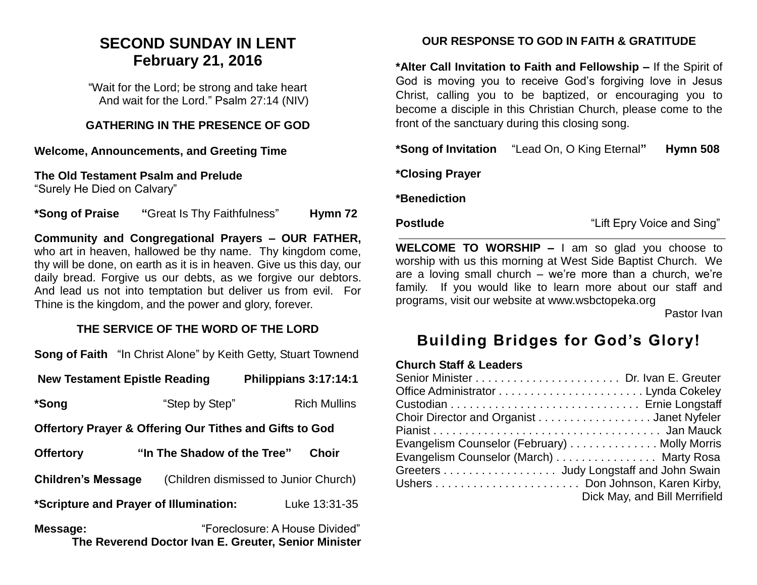# **SECOND SUNDAY IN LENT February 21, 2016**

"Wait for the Lord; be strong and take heart And wait for the Lord." Psalm 27:14 (NIV)

## **GATHERING IN THE PRESENCE OF GOD**

#### **Welcome, Announcements, and Greeting Time**

**The Old Testament Psalm and Prelude**

"Surely He Died on Calvary"

**\*Song of Praise "**Great Is Thy Faithfulness" **Hymn 72**

**Community and Congregational Prayers – OUR FATHER,**  who art in heaven, hallowed be thy name. Thy kingdom come, thy will be done, on earth as it is in heaven. Give us this day, our daily bread. Forgive us our debts, as we forgive our debtors. And lead us not into temptation but deliver us from evil. For Thine is the kingdom, and the power and glory, forever.

# **THE SERVICE OF THE WORD OF THE LORD**

**Song of Faith** "In Christ Alone" by Keith Getty, Stuart Townend

| <b>New Testament Epistle Reading</b>                               |                                       |  | Philippians 3:17:14:1          |  |
|--------------------------------------------------------------------|---------------------------------------|--|--------------------------------|--|
| *Song                                                              | "Step by Step"                        |  | <b>Rich Mullins</b>            |  |
| <b>Offertory Prayer &amp; Offering Our Tithes and Gifts to God</b> |                                       |  |                                |  |
| <b>Offertory</b>                                                   | "In The Shadow of the Tree"           |  | <b>Choir</b>                   |  |
| <b>Children's Message</b>                                          | (Children dismissed to Junior Church) |  |                                |  |
| *Scripture and Prayer of Illumination:                             |                                       |  | Luke 13:31-35                  |  |
| Message:                                                           |                                       |  | "Foreclosure: A House Divided" |  |

**The Reverend Doctor Ivan E. Greuter, Senior Minister**

# **OUR RESPONSE TO GOD IN FAITH & GRATITUDE**

**\*Alter Call Invitation to Faith and Fellowship –** If the Spirit of God is moving you to receive God's forgiving love in Jesus Christ, calling you to be baptized, or encouraging you to become a disciple in this Christian Church, please come to the front of the sanctuary during this closing song.

**\*Song of Invitation** "Lead On, O King Eternal**" Hymn 508**

**\*Closing Prayer** 

**\*Benediction**

**Postlude Contract Example 2 and Sing Postlude "Lift Epry Voice and Sing"** 

**WELCOME TO WORSHIP –** I am so glad you choose to worship with us this morning at West Side Baptist Church. We are a loving small church – we're more than a church, we're family. If you would like to learn more about our staff and programs, visit our website at www.wsbctopeka.org

Pastor Ivan

# **Building Bridges for God's Glory!**

#### **Church Staff & Leaders**

| Choir Director and Organist Janet Nyfeler    |                               |
|----------------------------------------------|-------------------------------|
|                                              |                               |
| Evangelism Counselor (February) Molly Morris |                               |
| Evangelism Counselor (March) Marty Rosa      |                               |
| Greeters Judy Longstaff and John Swain       |                               |
|                                              |                               |
|                                              | Dick May, and Bill Merrifield |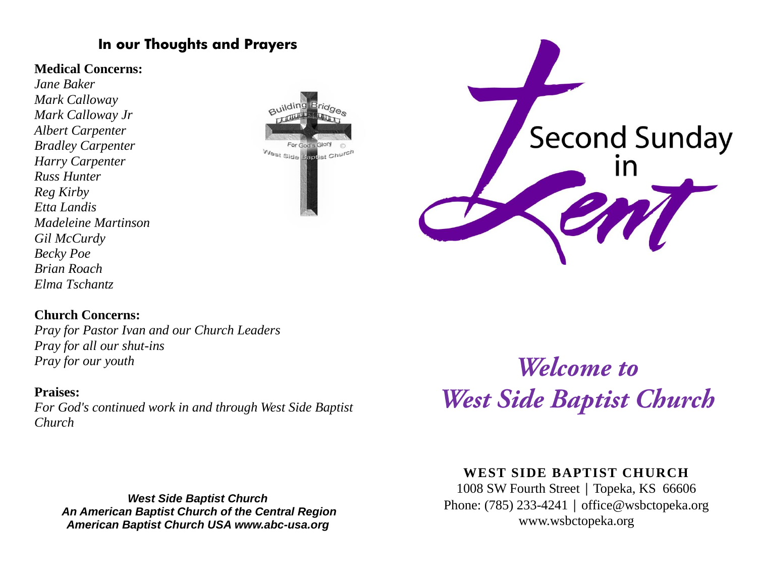# **In our Thoughts and Prayers**

# **Medical Concerns:**

*Jane Baker Mark Calloway Mark Calloway Jr Albert Carpenter Bradley Carpenter Harry Carpenter Russ Hunter Reg Kirby Etta Landis Madeleine Martinson Gil McCurdy Becky Poe Brian Roach Elma Tschantz*





# **Church Concerns:**

*Pray for Pastor Ivan and our Church Leaders Pray for all our shut-ins Pray for our youth*

# **Praises:**

*For God's continued work in and through West Side Baptist Church* 

*West Side Baptist Church An American Baptist Church of the Central Region American Baptist Church USA www.abc-usa.org*

Welcome to **West Side Baptist Church** 

# **WEST SIDE BAPTIST CHURCH**

1008 SW Fourth Street | Topeka, KS 66606 Phone: (785) 233-4241 │ [office@wsbctopeka.org](mailto:office@wsbctopeka.org) www.wsbctopeka.org